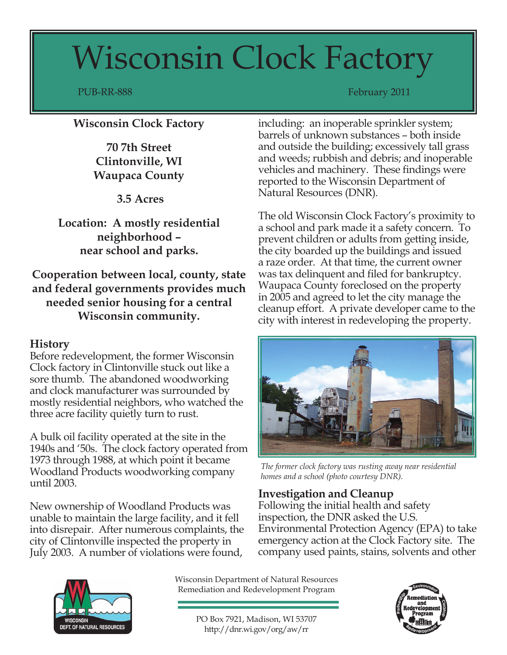# Wisconsin Clock Factory

PUB-RR-888 February 2011

## **Wisconsin Clock Factory**

**70 7th Street Clintonville, WI Waupaca County**

 **3.5 Acres**

**Location: A mostly residential neighborhood – near school and parks.**

**Cooperation between local, county, state and federal governments provides much needed senior housing for a central Wisconsin community.**

#### **History**

Before redevelopment, the former Wisconsin Clock factory in Clintonville stuck out like a sore thumb. The abandoned woodworking and clock manufacturer was surrounded by mostly residential neighbors, who watched the three acre facility quietly turn to rust.

A bulk oil facility operated at the site in the 1940s and '50s. The clock factory operated from 1973 through 1988, at which point it became Woodland Products woodworking company until 2003.

New ownership of Woodland Products was unable to maintain the large facility, and it fell into disrepair. After numerous complaints, the city of Clintonville inspected the property in July 2003. A number of violations were found,

including: an inoperable sprinkler system; barrels of unknown substances – both inside and outside the building; excessively tall grass and weeds; rubbish and debris; and inoperable vehicles and machinery. These findings were reported to the Wisconsin Department of Natural Resources (DNR).

The old Wisconsin Clock Factory's proximity to a school and park made it a safety concern. To prevent children or adults from getting inside, the city boarded up the buildings and issued a raze order. At that time, the current owner was tax delinquent and filed for bankruptcy. Waupaca County foreclosed on the property in 2005 and agreed to let the city manage the cleanup effort. A private developer came to the city with interest in redeveloping the property.



*The former clock factory was rusting away near residential homes and a school (photo courtesy DNR).* 

### **Investigation and Cleanup**

Following the initial health and safety inspection, the DNR asked the U.S. Environmental Protection Agency (EPA) to take emergency action at the Clock Factory site. The company used paints, stains, solvents and other



Wisconsin Department of Natural Resources Remediation and Redevelopment Program

> PO Box 7921, Madison, WI 53707 http://dnr.wi.gov/org/aw/rr